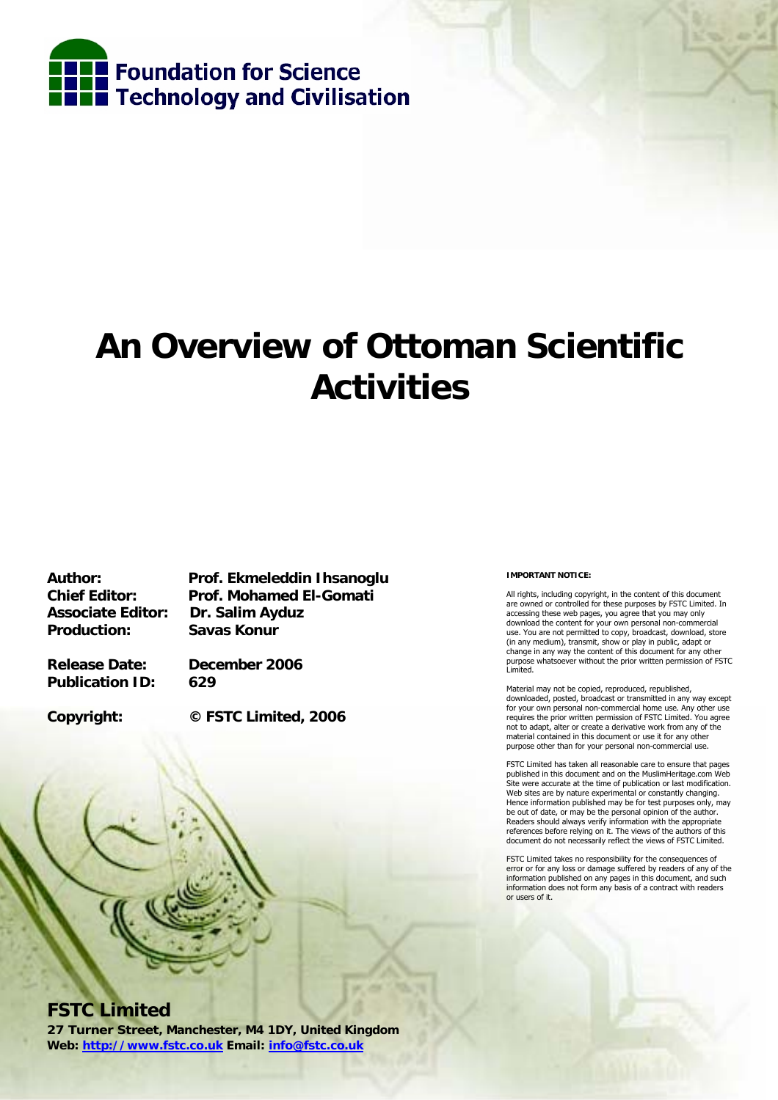

# **An Overview of Ottoman Scientific Activities**

**Associate Editor: Dr. Salim Ayduz Production: Savas Konur** 

**Author: Prof. Ekmeleddin Ihsanoglu Chief Editor: Prof. Mohamed El-Gomati** 

**Release Date: December 2006 Publication ID: 629** 

**Copyright: © FSTC Limited, 2006** 



## **FSTC Limited**

**27 Turner Street, Manchester, M4 1DY, United Kingdom Web: http://www.fstc.co.uk Email: info@fstc.co.uk**

#### **IMPORTANT NOTICE:**

All rights, including copyright, in the content of this document are owned or controlled for these purposes by FSTC Limited. In accessing these web pages, you agree that you may only download the content for your own personal non-commercial use. You are not permitted to copy, broadcast, download, store (in any medium), transmit, show or play in public, adapt or change in any way the content of this document for any other purpose whatsoever without the prior written permission of FSTC Limited.

Material may not be copied, reproduced, republished, downloaded, posted, broadcast or transmitted in any way except for your own personal non-commercial home use. Any other use requires the prior written permission of FSTC Limited. You agree not to adapt, alter or create a derivative work from any of the material contained in this document or use it for any other purpose other than for your personal non-commercial use.

FSTC Limited has taken all reasonable care to ensure that pages published in this document and on the MuslimHeritage.com Web Site were accurate at the time of publication or last modification. Web sites are by nature experimental or constantly changing. Hence information published may be for test purposes only, may be out of date, or may be the personal opinion of the author. Readers should always verify information with the appropriate references before relying on it. The views of the authors of this document do not necessarily reflect the views of FSTC Limited.

FSTC Limited takes no responsibility for the consequences of error or for any loss or damage suffered by readers of any of the information published on any pages in this document, and such information does not form any basis of a contract with readers or users of it.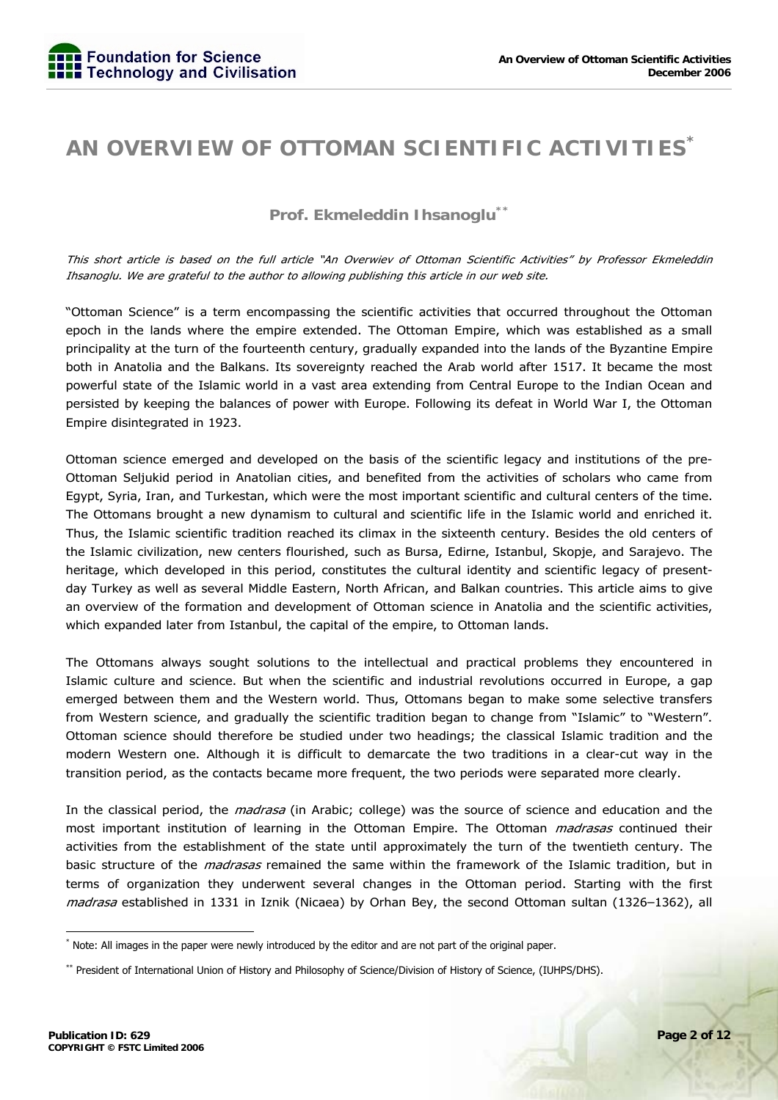# **AN OVERVIEW OF OTTOMAN SCIENTIFIC ACTIVITIES\***

**Prof. Ekmeleddin Ihsanoglu\*\***

This short article is based on the full article "An Overwiev of Ottoman Scientific Activities" by Professor Ekmeleddin Ihsanoglu. We are grateful to the author to allowing publishing this article in our web site.

"Ottoman Science" is a term encompassing the scientific activities that occurred throughout the Ottoman epoch in the lands where the empire extended. The Ottoman Empire, which was established as a small principality at the turn of the fourteenth century, gradually expanded into the lands of the Byzantine Empire both in Anatolia and the Balkans. Its sovereignty reached the Arab world after 1517. It became the most powerful state of the Islamic world in a vast area extending from Central Europe to the Indian Ocean and persisted by keeping the balances of power with Europe. Following its defeat in World War I, the Ottoman Empire disintegrated in 1923.

Ottoman science emerged and developed on the basis of the scientific legacy and institutions of the pre-Ottoman Seljukid period in Anatolian cities, and benefited from the activities of scholars who came from Egypt, Syria, Iran, and Turkestan, which were the most important scientific and cultural centers of the time. The Ottomans brought a new dynamism to cultural and scientific life in the Islamic world and enriched it. Thus, the Islamic scientific tradition reached its climax in the sixteenth century. Besides the old centers of the Islamic civilization, new centers flourished, such as Bursa, Edirne, Istanbul, Skopje, and Sarajevo. The heritage, which developed in this period, constitutes the cultural identity and scientific legacy of presentday Turkey as well as several Middle Eastern, North African, and Balkan countries. This article aims to give an overview of the formation and development of Ottoman science in Anatolia and the scientific activities, which expanded later from Istanbul, the capital of the empire, to Ottoman lands.

The Ottomans always sought solutions to the intellectual and practical problems they encountered in Islamic culture and science. But when the scientific and industrial revolutions occurred in Europe, a gap emerged between them and the Western world. Thus, Ottomans began to make some selective transfers from Western science, and gradually the scientific tradition began to change from "Islamic" to "Western". Ottoman science should therefore be studied under two headings; the classical Islamic tradition and the modern Western one. Although it is difficult to demarcate the two traditions in a clear-cut way in the transition period, as the contacts became more frequent, the two periods were separated more clearly.

In the classical period, the *madrasa* (in Arabic; college) was the source of science and education and the most important institution of learning in the Ottoman Empire. The Ottoman *madrasas* continued their activities from the establishment of the state until approximately the turn of the twentieth century. The basic structure of the *madrasas* remained the same within the framework of the Islamic tradition, but in terms of organization they underwent several changes in the Ottoman period. Starting with the first madrasa established in 1331 in Iznik (Nicaea) by Orhan Bey, the second Ottoman sultan (1326–1362), all

-

<sup>\*</sup> Note: All images in the paper were newly introduced by the editor and are not part of the original paper.

<sup>\*\*</sup> President of International Union of History and Philosophy of Science/Division of History of Science, (IUHPS/DHS).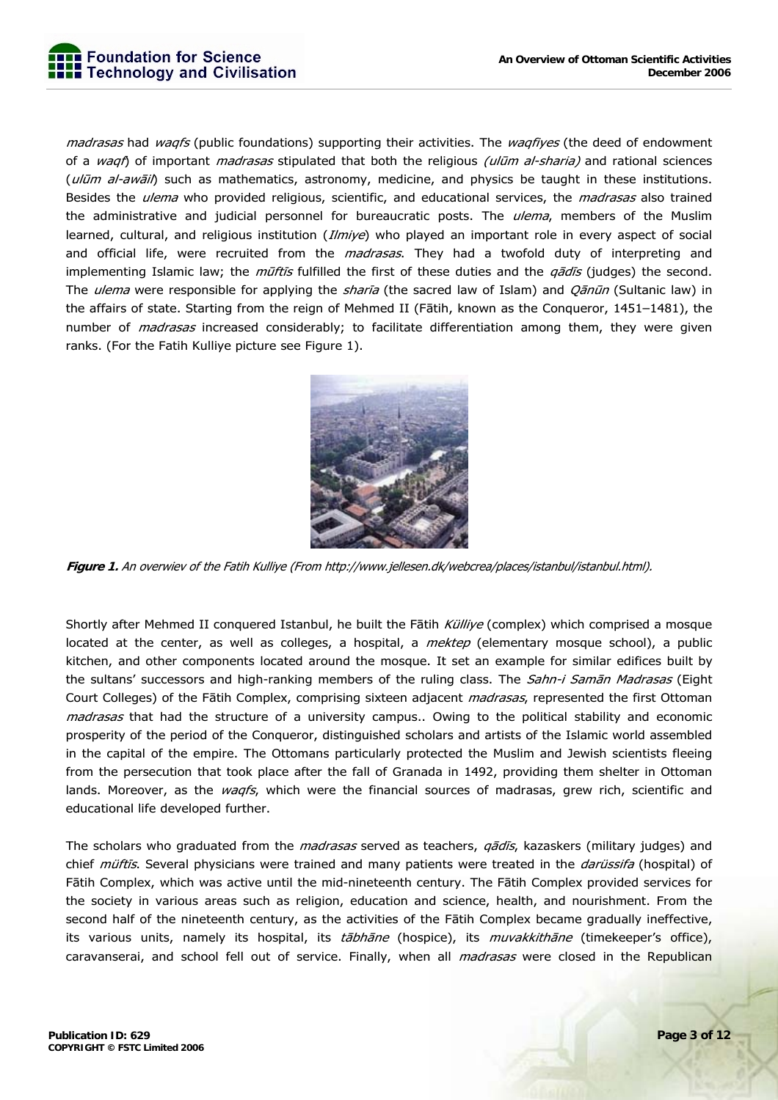

madrasas had waqfs (public foundations) supporting their activities. The wagfiyes (the deed of endowment of a waq<sup>p</sup> of important *madrasas* stipulated that both the religious *(ulūm al-sharia)* and rational sciences (ulūm al-awāil) such as mathematics, astronomy, medicine, and physics be taught in these institutions. Besides the *ulema* who provided religious, scientific, and educational services, the *madrasas* also trained the administrative and judicial personnel for bureaucratic posts. The *ulema*, members of the Muslim learned, cultural, and religious institution  $(Ilmiye)$  who played an important role in every aspect of social and official life, were recruited from the *madrasas*. They had a twofold duty of interpreting and implementing Islamic law; the *mūftīs* fulfilled the first of these duties and the  $q\bar{q}d\bar{s}$  (judges) the second. The *ulema* were responsible for applying the *sharīa* (the sacred law of Islam) and *Qānūn* (Sultanic law) in the affairs of state. Starting from the reign of Mehmed II (Fātih, known as the Conqueror, 1451–1481), the number of *madrasas* increased considerably; to facilitate differentiation among them, they were given ranks. (For the Fatih Kulliye picture see Figure 1).



**Figure 1.** An overwiev of the Fatih Kulliye (From http://www.jellesen.dk/webcrea/places/istanbul/istanbul.html).

Shortly after Mehmed II conquered Istanbul, he built the Fātih Külliye (complex) which comprised a mosque located at the center, as well as colleges, a hospital, a mektep (elementary mosque school), a public kitchen, and other components located around the mosque. It set an example for similar edifices built by the sultans' successors and high-ranking members of the ruling class. The Sahn-i Saman Madrasas (Eight Court Colleges) of the Fātih Complex, comprising sixteen adjacent *madrasas*, represented the first Ottoman madrasas that had the structure of a university campus.. Owing to the political stability and economic prosperity of the period of the Conqueror, distinguished scholars and artists of the Islamic world assembled in the capital of the empire. The Ottomans particularly protected the Muslim and Jewish scientists fleeing from the persecution that took place after the fall of Granada in 1492, providing them shelter in Ottoman lands. Moreover, as the waqfs, which were the financial sources of madrasas, grew rich, scientific and educational life developed further.

The scholars who graduated from the *madrasas* served as teachers, *qādīs*, kazaskers (military judges) and chief *müftīs*. Several physicians were trained and many patients were treated in the *darüssifa* (hospital) of Fātih Complex, which was active until the mid-nineteenth century. The Fātih Complex provided services for the society in various areas such as religion, education and science, health, and nourishment. From the second half of the nineteenth century, as the activities of the Fātih Complex became gradually ineffective, its various units, namely its hospital, its tābhāne (hospice), its *muvakkithāne* (timekeeper's office), caravanserai, and school fell out of service. Finally, when all *madrasas* were closed in the Republican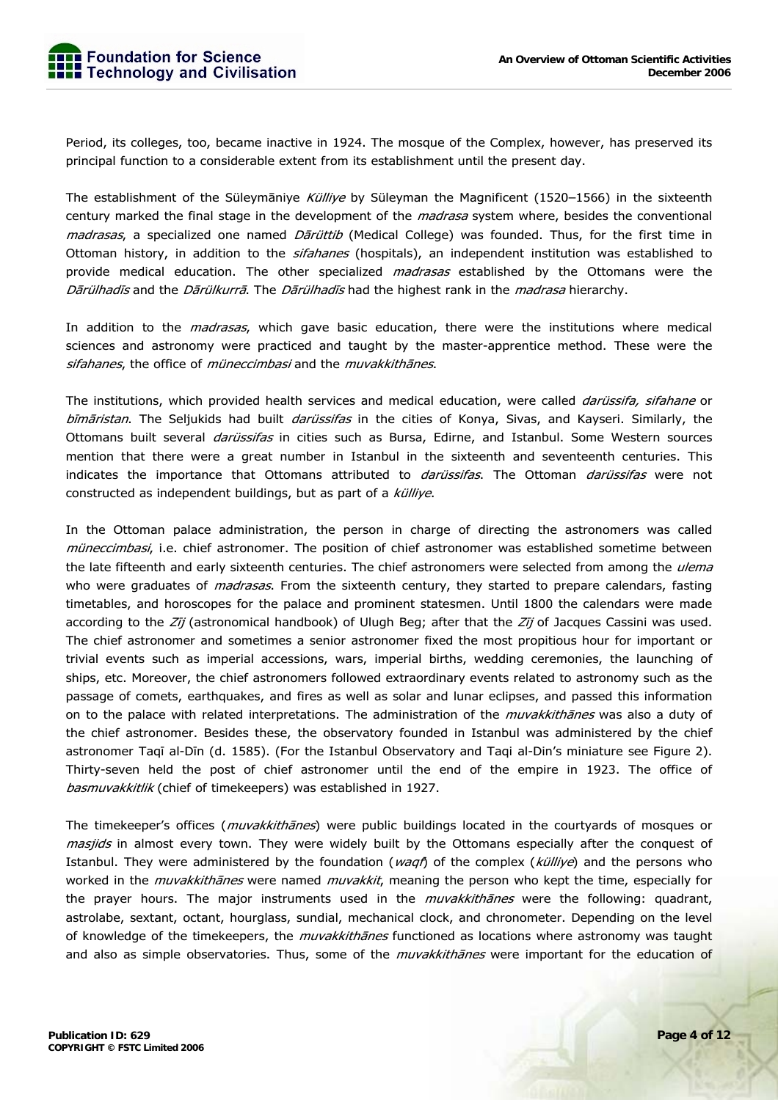

Period, its colleges, too, became inactive in 1924. The mosque of the Complex, however, has preserved its principal function to a considerable extent from its establishment until the present day.

The establishment of the Süleymāniye Külliye by Süleyman the Magnificent (1520–1566) in the sixteenth century marked the final stage in the development of the *madrasa* system where, besides the conventional madrasas, a specialized one named Dārüttib (Medical College) was founded. Thus, for the first time in Ottoman history, in addition to the *sifahanes* (hospitals), an independent institution was established to provide medical education. The other specialized *madrasas* established by the Ottomans were the Dārülhadīs and the Dārülkurrā. The Dārülhadīs had the highest rank in the madrasa hierarchy.

In addition to the *madrasas*, which gave basic education, there were the institutions where medical sciences and astronomy were practiced and taught by the master-apprentice method. These were the sifahanes, the office of müneccimbasi and the muvakkithanes.

The institutions, which provided health services and medical education, were called *darüssifa, sifahane* or bīmāristan. The Seljukids had built darüssifas in the cities of Konya, Sivas, and Kayseri. Similarly, the Ottomans built several *darüssifas* in cities such as Bursa, Edirne, and Istanbul. Some Western sources mention that there were a great number in Istanbul in the sixteenth and seventeenth centuries. This indicates the importance that Ottomans attributed to *darüssifas*. The Ottoman *darüssifas* were not constructed as independent buildings, but as part of a külliye.

In the Ottoman palace administration, the person in charge of directing the astronomers was called müneccimbasi, i.e. chief astronomer. The position of chief astronomer was established sometime between the late fifteenth and early sixteenth centuries. The chief astronomers were selected from among the *ulema* who were graduates of *madrasas*. From the sixteenth century, they started to prepare calendars, fasting timetables, and horoscopes for the palace and prominent statesmen. Until 1800 the calendars were made according to the  $Z\bar{\jmath}$  (astronomical handbook) of Ulugh Beg; after that the  $Z\bar{\jmath}$  of Jacques Cassini was used. The chief astronomer and sometimes a senior astronomer fixed the most propitious hour for important or trivial events such as imperial accessions, wars, imperial births, wedding ceremonies, the launching of ships, etc. Moreover, the chief astronomers followed extraordinary events related to astronomy such as the passage of comets, earthquakes, and fires as well as solar and lunar eclipses, and passed this information on to the palace with related interpretations. The administration of the *muvakkithanes* was also a duty of the chief astronomer. Besides these, the observatory founded in Istanbul was administered by the chief astronomer Taqī al-Dīn (d. 1585). (For the Istanbul Observatory and Taqi al-Din's miniature see Figure 2). Thirty-seven held the post of chief astronomer until the end of the empire in 1923. The office of basmuvakkitlik (chief of timekeepers) was established in 1927.

The timekeeper's offices (*muvakkithānes*) were public buildings located in the courtyards of mosques or masjids in almost every town. They were widely built by the Ottomans especially after the conquest of Istanbul. They were administered by the foundation ( $w a q f$ ) of the complex ( $k \ddot{u}$ lliye) and the persons who worked in the *muvakkithanes* were named *muvakkit*, meaning the person who kept the time, especially for the prayer hours. The major instruments used in the *muvakkithanes* were the following: quadrant, astrolabe, sextant, octant, hourglass, sundial, mechanical clock, and chronometer. Depending on the level of knowledge of the timekeepers, the *muvakkithānes* functioned as locations where astronomy was taught and also as simple observatories. Thus, some of the *muvakkithanes* were important for the education of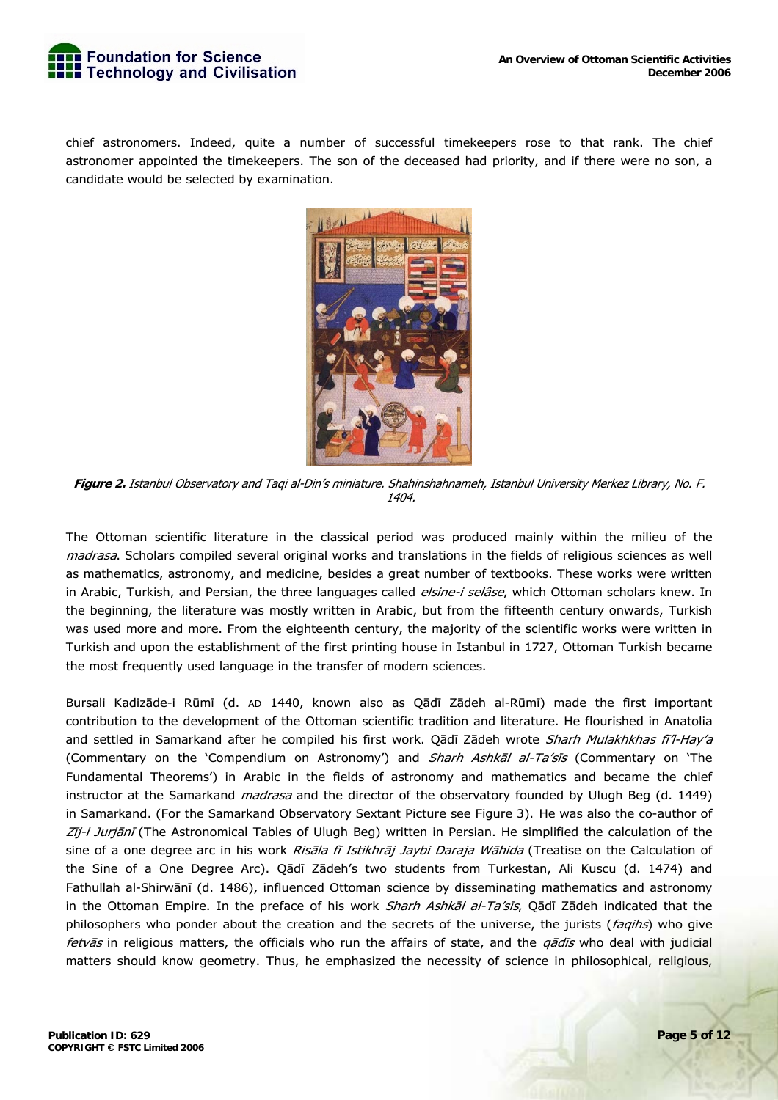

chief astronomers. Indeed, quite a number of successful timekeepers rose to that rank. The chief astronomer appointed the timekeepers. The son of the deceased had priority, and if there were no son, a candidate would be selected by examination.



**Figure 2.** Istanbul Observatory and Taqi al-Din's miniature. Shahinshahnameh, Istanbul University Merkez Library, No. F. 1404.

The Ottoman scientific literature in the classical period was produced mainly within the milieu of the madrasa. Scholars compiled several original works and translations in the fields of religious sciences as well as mathematics, astronomy, and medicine, besides a great number of textbooks. These works were written in Arabic, Turkish, and Persian, the three languages called elsine-i selâse, which Ottoman scholars knew. In the beginning, the literature was mostly written in Arabic, but from the fifteenth century onwards, Turkish was used more and more. From the eighteenth century, the majority of the scientific works were written in Turkish and upon the establishment of the first printing house in Istanbul in 1727, Ottoman Turkish became the most frequently used language in the transfer of modern sciences.

Bursali Kadizāde-i Rūmī (d. AD 1440, known also as Qādī Zādeh al-Rūmī) made the first important contribution to the development of the Ottoman scientific tradition and literature. He flourished in Anatolia and settled in Samarkand after he compiled his first work. Qādī Zādeh wrote Sharh Mulakhkhas fī'l-Hay'a (Commentary on the 'Compendium on Astronomy') and *Sharh Ashkal al-Ta'sis* (Commentary on 'The Fundamental Theorems') in Arabic in the fields of astronomy and mathematics and became the chief instructor at the Samarkand *madrasa* and the director of the observatory founded by Ulugh Beg (d. 1449) in Samarkand. (For the Samarkand Observatory Sextant Picture see Figure 3). He was also the co-author of Zīj-i Jurjānī (The Astronomical Tables of Ulugh Beg) written in Persian. He simplified the calculation of the sine of a one degree arc in his work Risala fi Istikhraj Jaybi Daraja Wāhida (Treatise on the Calculation of the Sine of a One Degree Arc). Qādī Zādeh's two students from Turkestan, Ali Kuscu (d. 1474) and Fathullah al-Shirwānī (d. 1486), influenced Ottoman science by disseminating mathematics and astronomy in the Ottoman Empire. In the preface of his work Sharh Ashkal al-Ta'sīs, Qādī Zādeh indicated that the philosophers who ponder about the creation and the secrets of the universe, the jurists (faqihs) who give fetvās in religious matters, the officials who run the affairs of state, and the *qādīs* who deal with judicial matters should know geometry. Thus, he emphasized the necessity of science in philosophical, religious,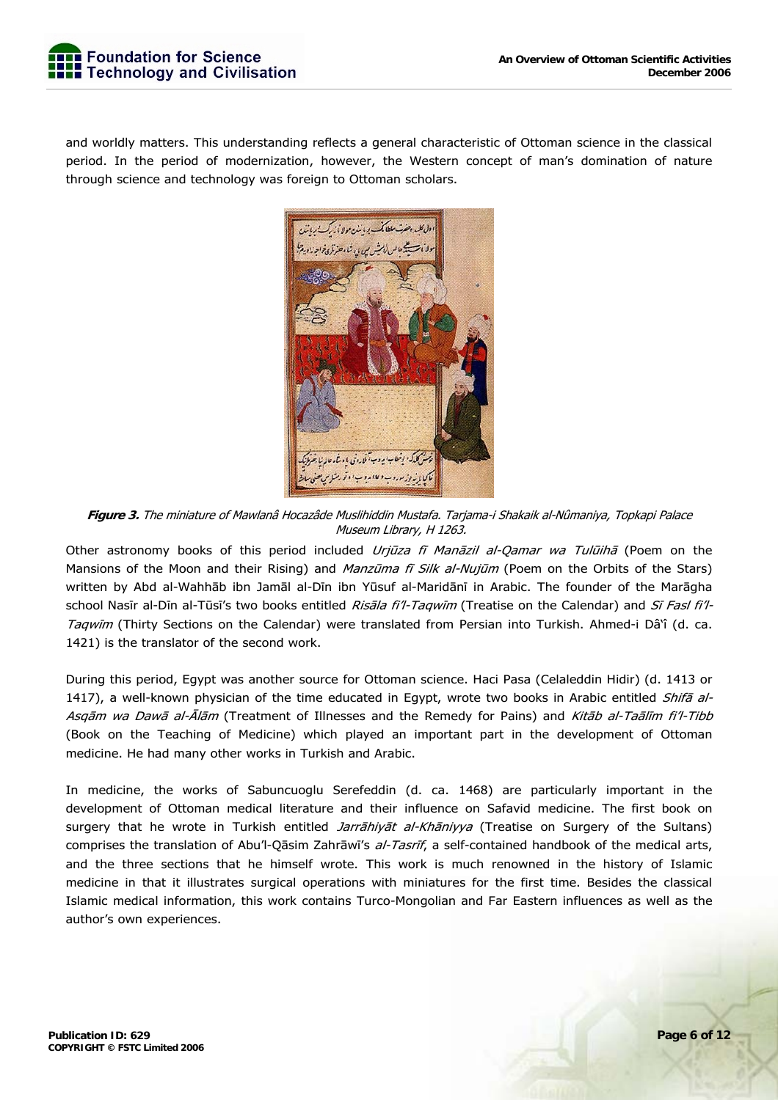

and worldly matters. This understanding reflects a general characteristic of Ottoman science in the classical period. In the period of modernization, however, the Western concept of man's domination of nature through science and technology was foreign to Ottoman scholars.



**Figure 3.** The miniature of Mawlanâ Hocazâde Muslihiddin Mustafa. Tarjama-i Shakaik al-Nûmaniya, Topkapi Palace Museum Library, H 1263.

Other astronomy books of this period included Urjūza fī Manāzil al-Qamar wa Tulūihā (Poem on the Mansions of the Moon and their Rising) and *Manzūma fī Silk al-Nujūm* (Poem on the Orbits of the Stars) written by Abd al-Wahhāb ibn Jamāl al-Dīn ibn Yūsuf al-Maridānī in Arabic. The founder of the Marāgha school Nasīr al-Dīn al-Tūsī's two books entitled Risāla fi'l-Taqwīm (Treatise on the Calendar) and Sī Fasl fi'l-Taqwīm (Thirty Sections on the Calendar) were translated from Persian into Turkish. Ahmed-i Dâ'î (d. ca. 1421) is the translator of the second work.

During this period, Egypt was another source for Ottoman science. Haci Pasa (Celaleddin Hidir) (d. 1413 or 1417), a well-known physician of the time educated in Egypt, wrote two books in Arabic entitled Shifa al-Asqām wa Dawā al-Ālām (Treatment of Illnesses and the Remedy for Pains) and Kitāb al-Taālīm fi'l-Tibb (Book on the Teaching of Medicine) which played an important part in the development of Ottoman medicine. He had many other works in Turkish and Arabic.

In medicine, the works of Sabuncuoglu Serefeddin (d. ca. 1468) are particularly important in the development of Ottoman medical literature and their influence on Safavid medicine. The first book on surgery that he wrote in Turkish entitled Jarrāhiyāt al-Khāniyya (Treatise on Surgery of the Sultans) comprises the translation of Abu'l-Qāsim Zahrāwī's al-Tasrīf, a self-contained handbook of the medical arts, and the three sections that he himself wrote. This work is much renowned in the history of Islamic medicine in that it illustrates surgical operations with miniatures for the first time. Besides the classical Islamic medical information, this work contains Turco-Mongolian and Far Eastern influences as well as the author's own experiences.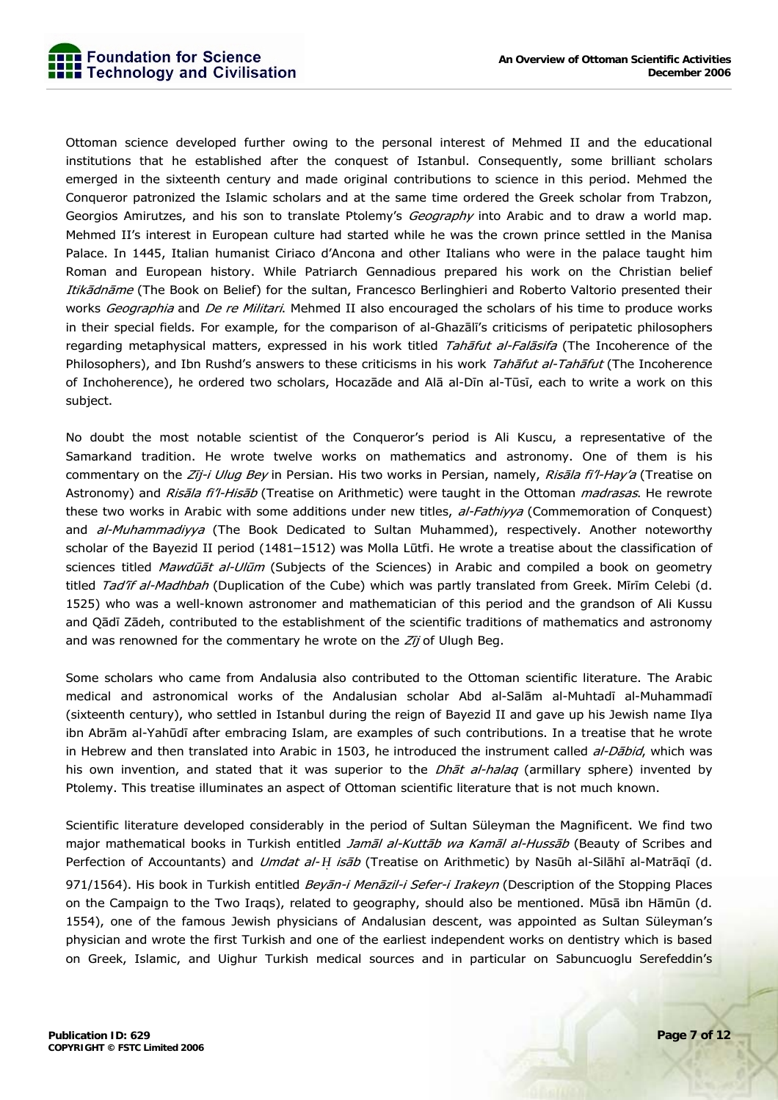

Ottoman science developed further owing to the personal interest of Mehmed II and the educational institutions that he established after the conquest of Istanbul. Consequently, some brilliant scholars emerged in the sixteenth century and made original contributions to science in this period. Mehmed the Conqueror patronized the Islamic scholars and at the same time ordered the Greek scholar from Trabzon, Georgios Amirutzes, and his son to translate Ptolemy's Geography into Arabic and to draw a world map. Mehmed II's interest in European culture had started while he was the crown prince settled in the Manisa Palace. In 1445, Italian humanist Ciriaco d'Ancona and other Italians who were in the palace taught him Roman and European history. While Patriarch Gennadious prepared his work on the Christian belief Itikādnāme (The Book on Belief) for the sultan, Francesco Berlinghieri and Roberto Valtorio presented their works Geographia and De re Militari. Mehmed II also encouraged the scholars of his time to produce works in their special fields. For example, for the comparison of al-Ghazālī's criticisms of peripatetic philosophers regarding metaphysical matters, expressed in his work titled Tahafut al-Falasifa (The Incoherence of the Philosophers), and Ibn Rushd's answers to these criticisms in his work Tahafut al-Tahafut (The Incoherence of Inchoherence), he ordered two scholars, Hocazāde and Alā al-Dīn al-Tūsī, each to write a work on this subject.

No doubt the most notable scientist of the Conqueror's period is Ali Kuscu, a representative of the Samarkand tradition. He wrote twelve works on mathematics and astronomy. One of them is his commentary on the Zij-i Ulug Bey in Persian. His two works in Persian, namely, Risala fi'l-Hay'a (Treatise on Astronomy) and Risala fi'l-Hisab (Treatise on Arithmetic) were taught in the Ottoman *madrasas*. He rewrote these two works in Arabic with some additions under new titles, al-Fathiyya (Commemoration of Conquest) and al-Muhammadiyya (The Book Dedicated to Sultan Muhammed), respectively. Another noteworthy scholar of the Bayezid II period (1481–1512) was Molla Lūtfi. He wrote a treatise about the classification of sciences titled *Mawdūāt al-Ulūm* (Subjects of the Sciences) in Arabic and compiled a book on geometry titled Tad'if al-Madhbah (Duplication of the Cube) which was partly translated from Greek. Mīrīm Celebi (d. 1525) who was a well-known astronomer and mathematician of this period and the grandson of Ali Kussu and Qādī Zādeh, contributed to the establishment of the scientific traditions of mathematics and astronomy and was renowned for the commentary he wrote on the  $Z\ddot{\eta}$  of Ulugh Beg.

Some scholars who came from Andalusia also contributed to the Ottoman scientific literature. The Arabic medical and astronomical works of the Andalusian scholar Abd al-Salām al-Muhtadī al-Muhammadī (sixteenth century), who settled in Istanbul during the reign of Bayezid II and gave up his Jewish name Ilya ibn Abrām al-Yahūdī after embracing Islam, are examples of such contributions. In a treatise that he wrote in Hebrew and then translated into Arabic in 1503, he introduced the instrument called al-Dabid, which was his own invention, and stated that it was superior to the *Dhat al-halag* (armillary sphere) invented by Ptolemy. This treatise illuminates an aspect of Ottoman scientific literature that is not much known.

Scientific literature developed considerably in the period of Sultan Süleyman the Magnificent. We find two major mathematical books in Turkish entitled *Jamāl al-Kuttāb wa Kamāl al-Hussāb* (Beauty of Scribes and Perfection of Accountants) and *Umdat al- H isāb* (Treatise on Arithmetic) by Nasūh al-Silāhī al-Matrāqī (d.<br>Albums and albums and albums and albums and albums and albums and albums and albums and albums and albums and 971/1564). His book in Turkish entitled Beyan-i Menazil-i Sefer-i Irakeyn (Description of the Stopping Places on the Campaign to the Two Iraqs), related to geography, should also be mentioned. Mūsā ibn Hāmūn (d. 1554), one of the famous Jewish physicians of Andalusian descent, was appointed as Sultan Süleyman's physician and wrote the first Turkish and one of the earliest independent works on dentistry which is based on Greek, Islamic, and Uighur Turkish medical sources and in particular on Sabuncuoglu Serefeddin's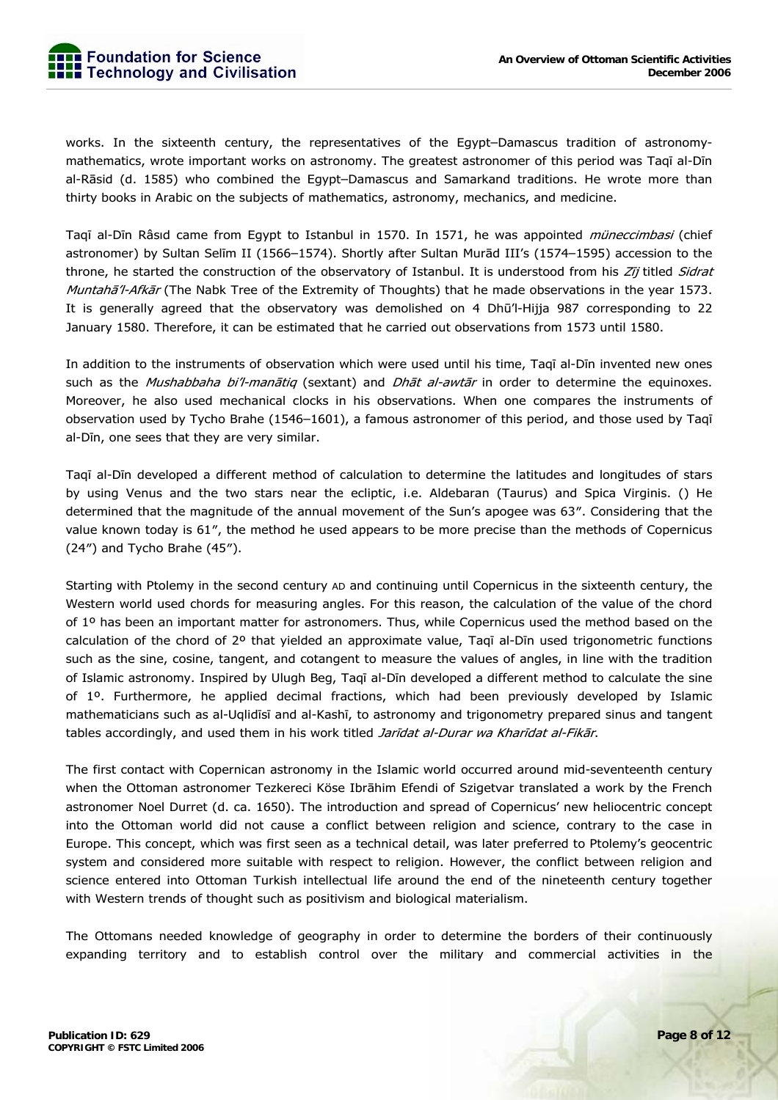

works. In the sixteenth century, the representatives of the Egypt–Damascus tradition of astronomymathematics, wrote important works on astronomy. The greatest astronomer of this period was Taqī al-Dīn al-Rāsid (d. 1585) who combined the Egypt–Damascus and Samarkand traditions. He wrote more than thirty books in Arabic on the subjects of mathematics, astronomy, mechanics, and medicine.

Taqī al-Dīn Râsıd came from Egypt to Istanbul in 1570. In 1571, he was appointed *müneccimbasi* (chief astronomer) by Sultan Selīm II (1566–1574). Shortly after Sultan Murād III's (1574–1595) accession to the throne, he started the construction of the observatory of Istanbul. It is understood from his Zij titled Sidrat Muntahā'l-Afkār (The Nabk Tree of the Extremity of Thoughts) that he made observations in the year 1573. It is generally agreed that the observatory was demolished on 4 Dhū'l-Hijja 987 corresponding to 22 January 1580. Therefore, it can be estimated that he carried out observations from 1573 until 1580.

In addition to the instruments of observation which were used until his time, Taqī al-Dīn invented new ones such as the Mushabbaha bi'l-manātiq (sextant) and Dhāt al-awtār in order to determine the equinoxes. Moreover, he also used mechanical clocks in his observations. When one compares the instruments of observation used by Tycho Brahe (1546–1601), a famous astronomer of this period, and those used by Taqī al-Dīn, one sees that they are very similar.

Taqī al-Dīn developed a different method of calculation to determine the latitudes and longitudes of stars by using Venus and the two stars near the ecliptic, i.e. Aldebaran (Taurus) and Spica Virginis. () He determined that the magnitude of the annual movement of the Sun's apogee was 63″. Considering that the value known today is 61″, the method he used appears to be more precise than the methods of Copernicus (24″) and Tycho Brahe (45″).

Starting with Ptolemy in the second century AD and continuing until Copernicus in the sixteenth century, the Western world used chords for measuring angles. For this reason, the calculation of the value of the chord of 1º has been an important matter for astronomers. Thus, while Copernicus used the method based on the calculation of the chord of 2º that yielded an approximate value, Taqī al-Dīn used trigonometric functions such as the sine, cosine, tangent, and cotangent to measure the values of angles, in line with the tradition of Islamic astronomy. Inspired by Ulugh Beg, Taqī al-Dīn developed a different method to calculate the sine of 1º. Furthermore, he applied decimal fractions, which had been previously developed by Islamic mathematicians such as al-Uqlidīsī and al-Kashī, to astronomy and trigonometry prepared sinus and tangent tables accordingly, and used them in his work titled Jarīdat al-Durar wa Kharīdat al-Fikār.

The first contact with Copernican astronomy in the Islamic world occurred around mid-seventeenth century when the Ottoman astronomer Tezkereci Köse Ibrāhim Efendi of Szigetvar translated a work by the French astronomer Noel Durret (d. ca. 1650). The introduction and spread of Copernicus' new heliocentric concept into the Ottoman world did not cause a conflict between religion and science, contrary to the case in Europe. This concept, which was first seen as a technical detail, was later preferred to Ptolemy's geocentric system and considered more suitable with respect to religion. However, the conflict between religion and science entered into Ottoman Turkish intellectual life around the end of the nineteenth century together with Western trends of thought such as positivism and biological materialism.

The Ottomans needed knowledge of geography in order to determine the borders of their continuously expanding territory and to establish control over the military and commercial activities in the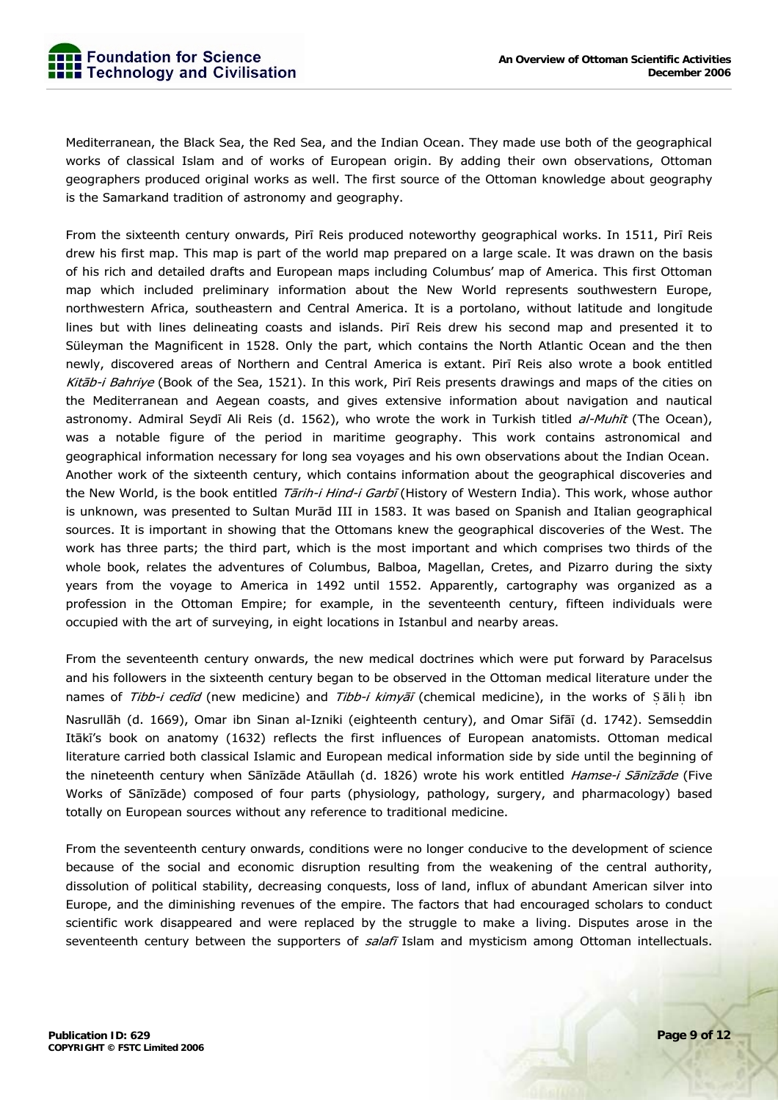Mediterranean, the Black Sea, the Red Sea, and the Indian Ocean. They made use both of the geographical works of classical Islam and of works of European origin. By adding their own observations, Ottoman geographers produced original works as well. The first source of the Ottoman knowledge about geography is the Samarkand tradition of astronomy and geography.

From the sixteenth century onwards, Pirī Reis produced noteworthy geographical works. In 1511, Pirī Reis drew his first map. This map is part of the world map prepared on a large scale. It was drawn on the basis of his rich and detailed drafts and European maps including Columbus' map of America. This first Ottoman map which included preliminary information about the New World represents southwestern Europe, northwestern Africa, southeastern and Central America. It is a portolano, without latitude and longitude lines but with lines delineating coasts and islands. Pirī Reis drew his second map and presented it to Süleyman the Magnificent in 1528. Only the part, which contains the North Atlantic Ocean and the then newly, discovered areas of Northern and Central America is extant. Pirī Reis also wrote a book entitled Kitāb-i Bahriye (Book of the Sea, 1521). In this work, Pirī Reis presents drawings and maps of the cities on the Mediterranean and Aegean coasts, and gives extensive information about navigation and nautical astronomy. Admiral Seydī Ali Reis (d. 1562), who wrote the work in Turkish titled al-Muhīt (The Ocean), was a notable figure of the period in maritime geography. This work contains astronomical and geographical information necessary for long sea voyages and his own observations about the Indian Ocean. Another work of the sixteenth century, which contains information about the geographical discoveries and the New World, is the book entitled Tarih-i Hind-i Garbī (History of Western India). This work, whose author is unknown, was presented to Sultan Murād III in 1583. It was based on Spanish and Italian geographical sources. It is important in showing that the Ottomans knew the geographical discoveries of the West. The work has three parts; the third part, which is the most important and which comprises two thirds of the whole book, relates the adventures of Columbus, Balboa, Magellan, Cretes, and Pizarro during the sixty years from the voyage to America in 1492 until 1552. Apparently, cartography was organized as a profession in the Ottoman Empire; for example, in the seventeenth century, fifteen individuals were occupied with the art of surveying, in eight locations in Istanbul and nearby areas.

From the seventeenth century onwards, the new medical doctrines which were put forward by Paracelsus and his followers in the sixteenth century began to be observed in the Ottoman medical literature under the names of Tibb-i cedīd (new medicine) and Tibb-i kimyāī (chemical medicine), in the works of Sālih ibn & & Nasrullāh (d. 1669), Omar ibn Sinan al-Izniki (eighteenth century), and Omar Sifāī (d. 1742). Semseddin Itākī's book on anatomy (1632) reflects the first influences of European anatomists. Ottoman medical literature carried both classical Islamic and European medical information side by side until the beginning of the nineteenth century when Sānīzāde Atāullah (d. 1826) wrote his work entitled Hamse-i Sānīzāde (Five Works of Sānīzāde) composed of four parts (physiology, pathology, surgery, and pharmacology) based totally on European sources without any reference to traditional medicine.

From the seventeenth century onwards, conditions were no longer conducive to the development of science because of the social and economic disruption resulting from the weakening of the central authority, dissolution of political stability, decreasing conquests, loss of land, influx of abundant American silver into Europe, and the diminishing revenues of the empire. The factors that had encouraged scholars to conduct scientific work disappeared and were replaced by the struggle to make a living. Disputes arose in the seventeenth century between the supporters of salafi Islam and mysticism among Ottoman intellectuals.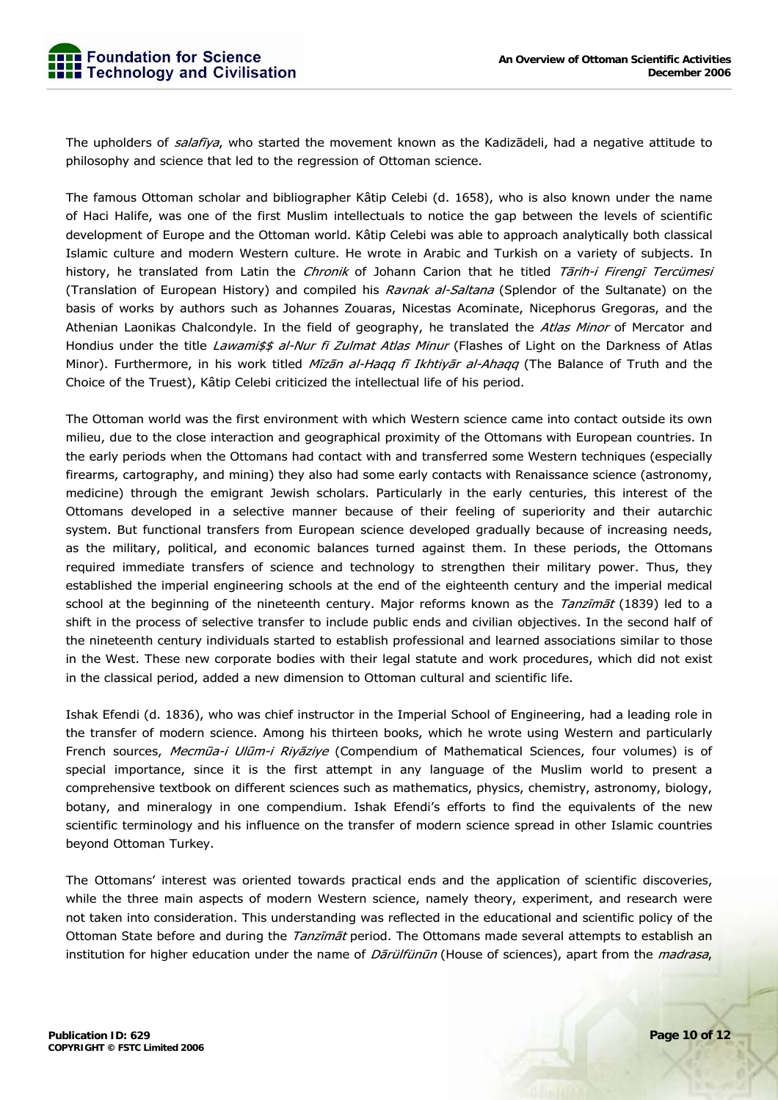The upholders of salafiya, who started the movement known as the Kadizādeli, had a negative attitude to philosophy and science that led to the regression of Ottoman science.

The famous Ottoman scholar and bibliographer Kâtip Celebi (d. 1658), who is also known under the name of Haci Halife, was one of the first Muslim intellectuals to notice the gap between the levels of scientific development of Europe and the Ottoman world. Kâtip Celebi was able to approach analytically both classical Islamic culture and modern Western culture. He wrote in Arabic and Turkish on a variety of subjects. In history, he translated from Latin the Chronik of Johann Carion that he titled Tārih-i Firengī Tercümesi (Translation of European History) and compiled his Ravnak al-Saltana (Splendor of the Sultanate) on the basis of works by authors such as Johannes Zouaras, Nicestas Acominate, Nicephorus Gregoras, and the Athenian Laonikas Chalcondyle. In the field of geography, he translated the Atlas Minor of Mercator and Hondius under the title Lawami\$\$ al-Nur fi Zulmat Atlas Minur (Flashes of Light on the Darkness of Atlas Minor). Furthermore, in his work titled Mīzān al-Haqq fī Ikhtiyār al-Ahaqq (The Balance of Truth and the Choice of the Truest), Kâtip Celebi criticized the intellectual life of his period.

The Ottoman world was the first environment with which Western science came into contact outside its own milieu, due to the close interaction and geographical proximity of the Ottomans with European countries. In the early periods when the Ottomans had contact with and transferred some Western techniques (especially firearms, cartography, and mining) they also had some early contacts with Renaissance science (astronomy, medicine) through the emigrant Jewish scholars. Particularly in the early centuries, this interest of the Ottomans developed in a selective manner because of their feeling of superiority and their autarchic system. But functional transfers from European science developed gradually because of increasing needs, as the military, political, and economic balances turned against them. In these periods, the Ottomans required immediate transfers of science and technology to strengthen their military power. Thus, they established the imperial engineering schools at the end of the eighteenth century and the imperial medical school at the beginning of the nineteenth century. Major reforms known as the *Tanzīmāt* (1839) led to a shift in the process of selective transfer to include public ends and civilian objectives. In the second half of the nineteenth century individuals started to establish professional and learned associations similar to those in the West. These new corporate bodies with their legal statute and work procedures, which did not exist in the classical period, added a new dimension to Ottoman cultural and scientific life.

Ishak Efendi (d. 1836), who was chief instructor in the Imperial School of Engineering, had a leading role in the transfer of modern science. Among his thirteen books, which he wrote using Western and particularly French sources, Mecmūa-i Ulūm-i Riyāziye (Compendium of Mathematical Sciences, four volumes) is of special importance, since it is the first attempt in any language of the Muslim world to present a comprehensive textbook on different sciences such as mathematics, physics, chemistry, astronomy, biology, botany, and mineralogy in one compendium. Ishak Efendi's efforts to find the equivalents of the new scientific terminology and his influence on the transfer of modern science spread in other Islamic countries beyond Ottoman Turkey.

The Ottomans' interest was oriented towards practical ends and the application of scientific discoveries, while the three main aspects of modern Western science, namely theory, experiment, and research were not taken into consideration. This understanding was reflected in the educational and scientific policy of the Ottoman State before and during the Tanzīmāt period. The Ottomans made several attempts to establish an institution for higher education under the name of Dārülfünūn (House of sciences), apart from the madrasa,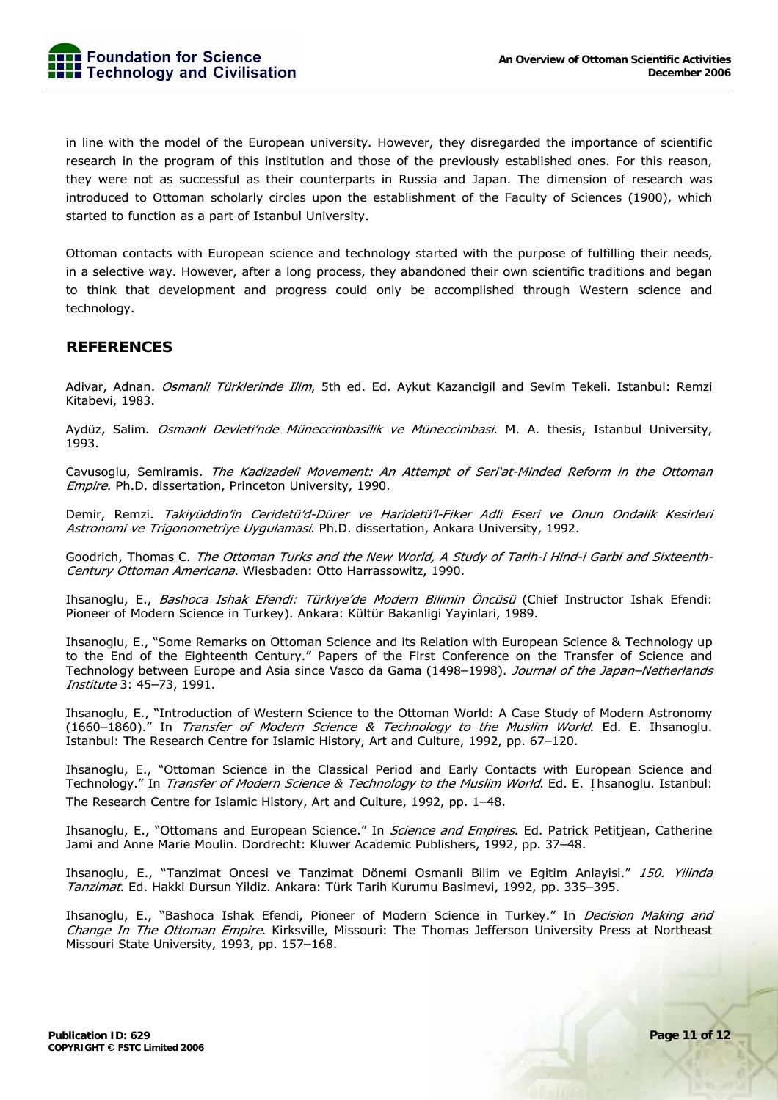

in line with the model of the European university. However, they disregarded the importance of scientific research in the program of this institution and those of the previously established ones. For this reason, they were not as successful as their counterparts in Russia and Japan. The dimension of research was introduced to Ottoman scholarly circles upon the establishment of the Faculty of Sciences (1900), which started to function as a part of Istanbul University.

Ottoman contacts with European science and technology started with the purpose of fulfilling their needs, in a selective way. However, after a long process, they abandoned their own scientific traditions and began to think that development and progress could only be accomplished through Western science and technology.

### **REFERENCES**

Adivar, Adnan. Osmanli Türklerinde Ilim, 5th ed. Ed. Aykut Kazancigil and Sevim Tekeli. Istanbul: Remzi Kitabevi, 1983.

Aydüz, Salim. Osmanli Devleti'nde Müneccimbasilik ve Müneccimbasi. M. A. thesis, Istanbul University, 1993.

Cavusoglu, Semiramis. The Kadizadeli Movement: An Attempt of Seri'at-Minded Reform in the Ottoman Empire. Ph.D. dissertation, Princeton University, 1990.

Demir, Remzi. Takiyüddin'in Ceridetü'd-Dürer ve Haridetü'l-Fiker Adli Eseri ve Onun Ondalik Kesirleri Astronomi ve Trigonometriye Uygulamasi. Ph.D. dissertation, Ankara University, 1992.

Goodrich, Thomas C. The Ottoman Turks and the New World, A Study of Tarih-i Hind-i Garbi and Sixteenth-Century Ottoman Americana. Wiesbaden: Otto Harrassowitz, 1990.

Ihsanoglu, E., Bashoca Ishak Efendi: Türkiye'de Modern Bilimin Öncüsü (Chief Instructor Ishak Efendi: Pioneer of Modern Science in Turkey). Ankara: Kültür Bakanligi Yayinlari, 1989.

Ihsanoglu, E., "Some Remarks on Ottoman Science and its Relation with European Science & Technology up to the End of the Eighteenth Century." Papers of the First Conference on the Transfer of Science and Technology between Europe and Asia since Vasco da Gama (1498–1998). Journal of the Japan–Netherlands Institute 3: 45–73, 1991.

Ihsanoglu, E., "Introduction of Western Science to the Ottoman World: A Case Study of Modern Astronomy (1660–1860)." In Transfer of Modern Science & Technology to the Muslim World. Ed. E. Ihsanoglu. Istanbul: The Research Centre for Islamic History, Art and Culture, 1992, pp. 67–120.

Ihsanoglu, E., "Ottoman Science in the Classical Period and Early Contacts with European Science and Technology." In *Transfer of Modern Science & Technology to the Muslim World*. Ed. E. Insanoglu. Istanbul:  $\ddot{\phantom{a}}$ The Research Centre for Islamic History, Art and Culture, 1992, pp. 1–48.

Ihsanoglu, E., "Ottomans and European Science." In Science and Empires. Ed. Patrick Petitjean, Catherine Jami and Anne Marie Moulin. Dordrecht: Kluwer Academic Publishers, 1992, pp. 37–48.

Ihsanoglu, E., "Tanzimat Oncesi ve Tanzimat Dönemi Osmanli Bilim ve Egitim Anlayisi." 150. Yilinda Tanzimat. Ed. Hakki Dursun Yildiz. Ankara: Türk Tarih Kurumu Basimevi, 1992, pp. 335–395.

Ihsanoglu, E., "Bashoca Ishak Efendi, Pioneer of Modern Science in Turkey." In *Decision Making and* Change In The Ottoman Empire. Kirksville, Missouri: The Thomas Jefferson University Press at Northeast Missouri State University, 1993, pp. 157–168.